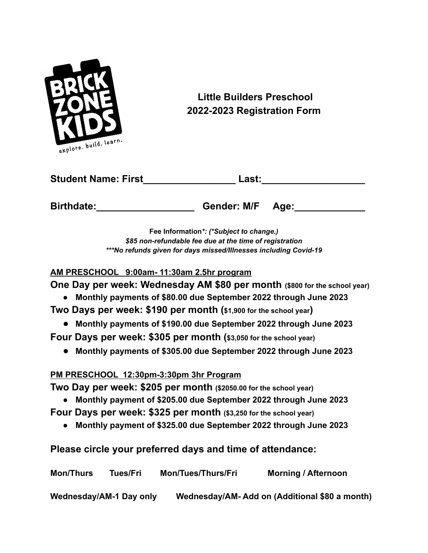

**Little Builders Preschool 2022-2023 Registration Form**

| <b>Student Name: First</b> | Last:            |  |
|----------------------------|------------------|--|
| <b>Birthdate:</b>          | Gender: M/F Age: |  |

**Fee Information***\*: (\*Subject to change.) \$85 non-refundable fee due at the time of registration \*\*\*No refunds given for days missed/Illnesses including Covid-19*

### **AM PRESCHOOL 9:00am- 11:30am 2.5hr program**

**One Day per week: Wednesday AM \$80 per month (\$800 for the school year)**

**● Monthly payments of \$80.00 due September 2022 through June 2023**

**Two Days per week: \$190 per month (\$1,900 for the school year)**

**● Monthly payments of \$190.00 due September 2022 through June 2023**

**Four Days per week: \$305 per month (\$3,050 for the school year)**

**● Monthly payments of \$305.00 due September 2022 through June 2023**

# **PM PRESCHOOL 12:30pm-3:30pm 3hr Program**

**Two Day per week: \$205 per month (\$2050.00 for the school year)**

- **● Monthly payment of \$205.00 due September 2022 through June 2023**
- **Four Days per week: \$325 per month (\$3,250 for the school year)**
	- **● Monthly payment of \$325.00 due September 2022 through June 2023**
- **Please circle your preferred days and time of attendance:**

| <b>Mon/Thurs</b>        | Tues/Fri | <b>Mon/Tues/Thurs/Fri</b> | <b>Morning / Afternoon</b>                    |
|-------------------------|----------|---------------------------|-----------------------------------------------|
| Wednesday/AM-1 Day only |          |                           | Wednesday/AM-Add on (Additional \$80 a month) |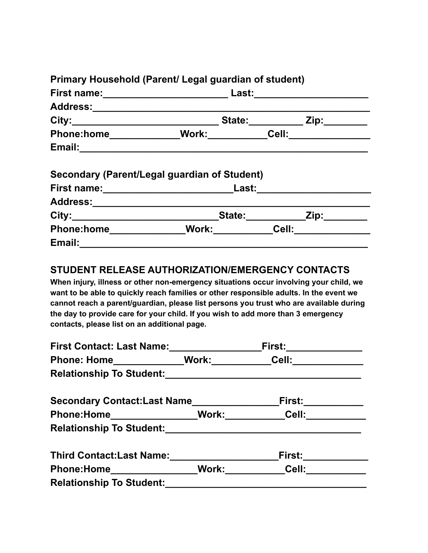|                                | $\mathsf{Zip:} \_\_\_\_\_\_\_\$                                                                                                                                                                                                                                                                                               |
|--------------------------------|-------------------------------------------------------------------------------------------------------------------------------------------------------------------------------------------------------------------------------------------------------------------------------------------------------------------------------|
| Cell: <b>Cell</b>              |                                                                                                                                                                                                                                                                                                                               |
|                                |                                                                                                                                                                                                                                                                                                                               |
| Email: <u>________________</u> | Primary Household (Parent/ Legal guardian of student)<br>State: ______________ Zip: _________<br>Phone:home_____________Work:___________Cell:_______________<br>Secondary (Parent/Legal guardian of Student)<br>Last: www.<br>Address:________________________________<br>State:<br>Phone:home_________________Work:_________ |

# **STUDENT RELEASE AUTHORIZATION/EMERGENCY CONTACTS**

**When injury, illness or other non-emergency situations occur involving your child, we want to be able to quickly reach families or other responsible adults. In the event we cannot reach a parent/guardian, please list persons you trust who are available during the day to provide care for your child. If you wish to add more than 3 emergency contacts, please list on an additional page.**

| <b>First Contact: Last Name:</b>                                | First:                 |  |
|-----------------------------------------------------------------|------------------------|--|
| Phone: Home                                                     | Work: Cell:            |  |
| <b>Relationship To Student:</b>                                 |                        |  |
| Secondary Contact:Last Name                                     | <b>First:</b> ________ |  |
| Phone:Home__________________Work:____________Cell:_____________ |                        |  |
| <b>Relationship To Student:</b>                                 |                        |  |
| <b>Third Contact: Last Name:</b>                                | <b>First:</b>          |  |
|                                                                 | Work: Cell:            |  |
| <b>Relationship To Student:</b>                                 |                        |  |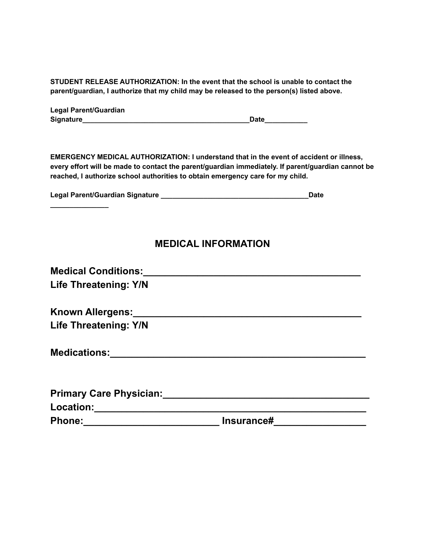**STUDENT RELEASE AUTHORIZATION: In the event that the school is unable to contact the parent/guardian, I authorize that my child may be released to the person(s) listed above.**

| <b>Legal Parent/Guardian</b> |             |
|------------------------------|-------------|
| Signature                    | <b>Date</b> |

**EMERGENCY MEDICAL AUTHORIZATION: I understand that in the event of accident or illness, every effort will be made to contact the parent/guardian immediately. If parent/guardian cannot be reached, I authorize school authorities to obtain emergency care for my child.**

| Legal Parent/Guardian Signature | Date |
|---------------------------------|------|
|                                 |      |

# **MEDICAL INFORMATION**

| <b>Medical Conditions:</b>                                                                                     |            |  |
|----------------------------------------------------------------------------------------------------------------|------------|--|
| <b>Life Threatening: Y/N</b>                                                                                   |            |  |
| Known Allergens: Management and Management and Management and Management and Management and Management and     |            |  |
| <b>Life Threatening: Y/N</b>                                                                                   |            |  |
| <b>Medications:</b>                                                                                            |            |  |
| <b>Primary Care Physician:</b>                                                                                 |            |  |
| Location: Management of the Contract of the Contract of the Contract of the Contract of the Contract of the Co |            |  |
| <b>Phone:</b>                                                                                                  | Insurance# |  |

**\_\_\_\_\_\_\_\_\_\_\_\_\_\_\_**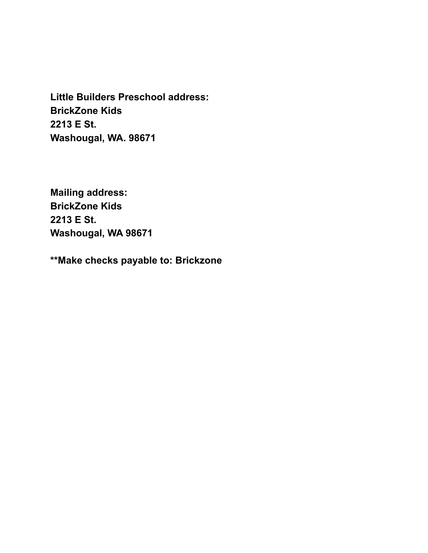**Little Builders Preschool address: BrickZone Kids 2213 E St. Washougal, WA. 98671**

**Mailing address: BrickZone Kids 2213 E St. Washougal, WA 98671**

**\*\*Make checks payable to: Brickzone**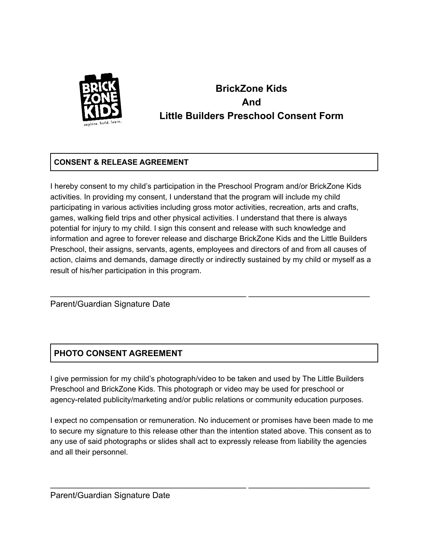

# **BrickZone Kids And Little Builders Preschool Consent Form**

### **CONSENT & RELEASE AGREEMENT**

I hereby consent to my child's participation in the Preschool Program and/or BrickZone Kids activities. In providing my consent, I understand that the program will include my child participating in various activities including gross motor activities, recreation, arts and crafts, games, walking field trips and other physical activities. I understand that there is always potential for injury to my child. I sign this consent and release with such knowledge and information and agree to forever release and discharge BrickZone Kids and the Little Builders Preschool, their assigns, servants, agents, employees and directors of and from all causes of action, claims and demands, damage directly or indirectly sustained by my child or myself as a result of his/her participation in this program.

\_\_\_\_\_\_\_\_\_\_\_\_\_\_\_\_\_\_\_\_\_\_\_\_\_\_\_\_\_\_\_\_\_\_\_\_\_\_\_\_\_\_ \_\_\_\_\_\_\_\_\_\_\_\_\_\_\_\_\_\_\_\_\_\_\_\_\_\_

Parent/Guardian Signature Date

### **PHOTO CONSENT AGREEMENT**

I give permission for my child's photograph/video to be taken and used by The Little Builders Preschool and BrickZone Kids. This photograph or video may be used for preschool or agency-related publicity/marketing and/or public relations or community education purposes.

I expect no compensation or remuneration. No inducement or promises have been made to me to secure my signature to this release other than the intention stated above. This consent as to any use of said photographs or slides shall act to expressly release from liability the agencies and all their personnel.

\_\_\_\_\_\_\_\_\_\_\_\_\_\_\_\_\_\_\_\_\_\_\_\_\_\_\_\_\_\_\_\_\_\_\_\_\_\_\_\_\_\_ \_\_\_\_\_\_\_\_\_\_\_\_\_\_\_\_\_\_\_\_\_\_\_\_\_\_